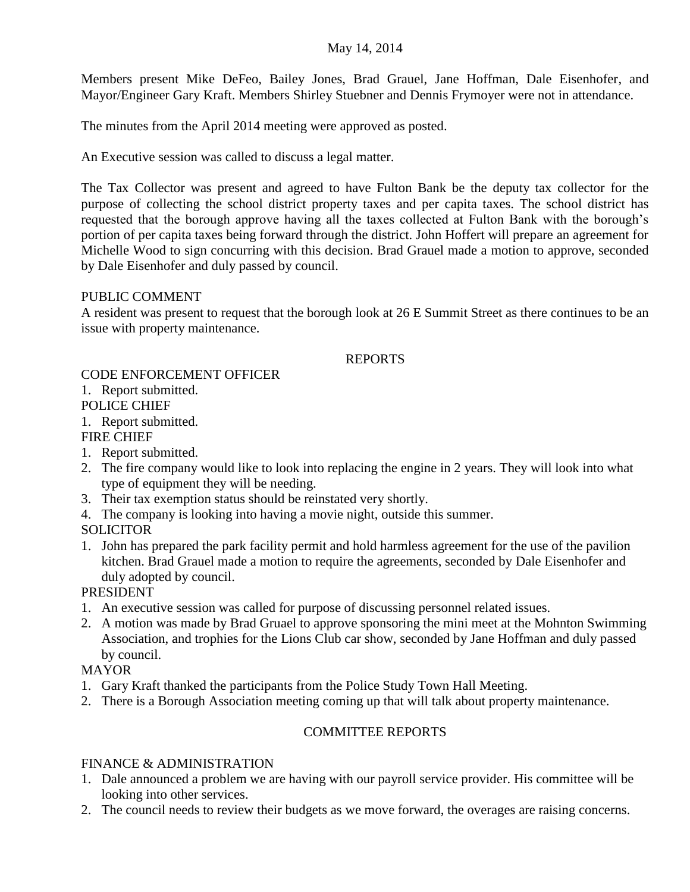#### May 14, 2014

Members present Mike DeFeo, Bailey Jones, Brad Grauel, Jane Hoffman, Dale Eisenhofer, and Mayor/Engineer Gary Kraft. Members Shirley Stuebner and Dennis Frymoyer were not in attendance.

The minutes from the April 2014 meeting were approved as posted.

An Executive session was called to discuss a legal matter.

The Tax Collector was present and agreed to have Fulton Bank be the deputy tax collector for the purpose of collecting the school district property taxes and per capita taxes. The school district has requested that the borough approve having all the taxes collected at Fulton Bank with the borough's portion of per capita taxes being forward through the district. John Hoffert will prepare an agreement for Michelle Wood to sign concurring with this decision. Brad Grauel made a motion to approve, seconded by Dale Eisenhofer and duly passed by council.

### PUBLIC COMMENT

A resident was present to request that the borough look at 26 E Summit Street as there continues to be an issue with property maintenance.

#### REPORTS

# CODE ENFORCEMENT OFFICER

### 1. Report submitted.

# POLICE CHIEF

# 1. Report submitted.

# FIRE CHIEF

- 1. Report submitted.
- 2. The fire company would like to look into replacing the engine in 2 years. They will look into what type of equipment they will be needing.
- 3. Their tax exemption status should be reinstated very shortly.
- 4. The company is looking into having a movie night, outside this summer.
- **SOLICITOR**
- 1. John has prepared the park facility permit and hold harmless agreement for the use of the pavilion kitchen. Brad Grauel made a motion to require the agreements, seconded by Dale Eisenhofer and duly adopted by council.

PRESIDENT

- 1. An executive session was called for purpose of discussing personnel related issues.
- 2. A motion was made by Brad Gruael to approve sponsoring the mini meet at the Mohnton Swimming Association, and trophies for the Lions Club car show, seconded by Jane Hoffman and duly passed by council.

### MAYOR

- 1. Gary Kraft thanked the participants from the Police Study Town Hall Meeting.
- 2. There is a Borough Association meeting coming up that will talk about property maintenance.

### COMMITTEE REPORTS

### FINANCE & ADMINISTRATION

- 1. Dale announced a problem we are having with our payroll service provider. His committee will be looking into other services.
- 2. The council needs to review their budgets as we move forward, the overages are raising concerns.